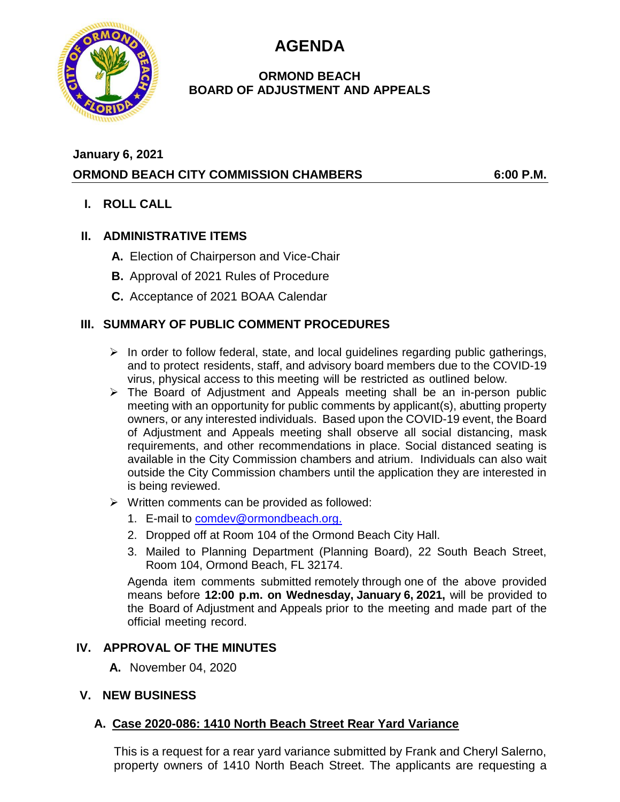**AGENDA**



### **ORMOND BEACH BOARD OF ADJUSTMENT AND APPEALS**

## **January 6, 2021 ORMOND BEACH CITY COMMISSION CHAMBERS 6:00 P.M.**

**I. ROLL CALL**

## **II. ADMINISTRATIVE ITEMS**

- **A.** Election of Chairperson and Vice-Chair
- **B.** Approval of 2021 Rules of Procedure
- **C.** Acceptance of 2021 BOAA Calendar

## **III. SUMMARY OF PUBLIC COMMENT PROCEDURES**

- $\triangleright$  In order to follow federal, state, and local guidelines regarding public gatherings, and to protect residents, staff, and advisory board members due to the COVID-19 virus, physical access to this meeting will be restricted as outlined below.
- ➢ The Board of Adjustment and Appeals meeting shall be an in-person public meeting with an opportunity for public comments by applicant(s), abutting property owners, or any interested individuals. Based upon the COVID-19 event, the Board of Adjustment and Appeals meeting shall observe all social distancing, mask requirements, and other recommendations in place. Social distanced seating is available in the City Commission chambers and atrium. Individuals can also wait outside the City Commission chambers until the application they are interested in is being reviewed.
- $\triangleright$  Written comments can be provided as followed:
	- 1. E-mail to [comdev@ormondbeach.org.](mailto:comdev@ormondbeach.org)
	- 2. Dropped off at Room 104 of the Ormond Beach City Hall.
	- 3. Mailed to Planning Department (Planning Board), 22 South Beach Street, Room 104, Ormond Beach, FL 32174.

Agenda item comments submitted remotely through one of the above provided means before **12:00 p.m. on Wednesday, January 6, 2021,** will be provided to the Board of Adjustment and Appeals prior to the meeting and made part of the official meeting record.

# **IV. APPROVAL OF THE MINUTES**

**A.** November 04, 2020

### **V. NEW BUSINESS**

# **A. Case 2020-086: 1410 North Beach Street Rear Yard Variance**

This is a request for a rear yard variance submitted by Frank and Cheryl Salerno, property owners of 1410 North Beach Street. The applicants are requesting a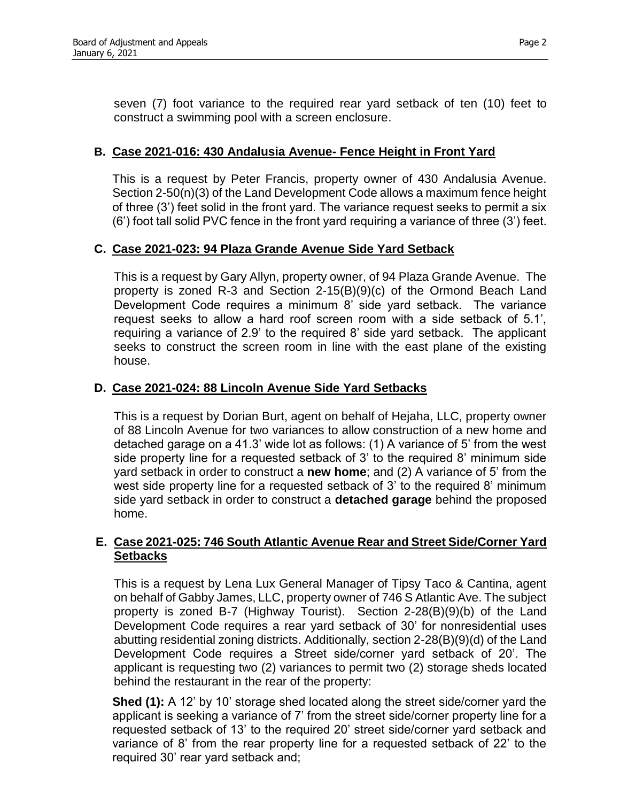seven (7) foot variance to the required rear yard setback of ten (10) feet to construct a swimming pool with a screen enclosure.

#### **B. Case 2021-016: 430 Andalusia Avenue- Fence Height in Front Yard**

This is a request by Peter Francis, property owner of 430 Andalusia Avenue. Section 2-50(n)(3) of the Land Development Code allows a maximum fence height of three (3') feet solid in the front yard. The variance request seeks to permit a six (6') foot tall solid PVC fence in the front yard requiring a variance of three (3') feet.

#### **C. Case 2021-023: 94 Plaza Grande Avenue Side Yard Setback**

This is a request by Gary Allyn, property owner, of 94 Plaza Grande Avenue. The property is zoned R-3 and Section 2-15(B)(9)(c) of the Ormond Beach Land Development Code requires a minimum 8' side yard setback. The variance request seeks to allow a hard roof screen room with a side setback of 5.1', requiring a variance of 2.9' to the required 8' side yard setback. The applicant seeks to construct the screen room in line with the east plane of the existing house.

#### **D. Case 2021-024: 88 Lincoln Avenue Side Yard Setbacks**

This is a request by Dorian Burt, agent on behalf of Hejaha, LLC, property owner of 88 Lincoln Avenue for two variances to allow construction of a new home and detached garage on a 41.3' wide lot as follows: (1) A variance of 5' from the west side property line for a requested setback of 3' to the required 8' minimum side yard setback in order to construct a **new home**; and (2) A variance of 5' from the west side property line for a requested setback of 3' to the required 8' minimum side yard setback in order to construct a **detached garage** behind the proposed home.

#### **E. Case 2021-025: 746 South Atlantic Avenue Rear and Street Side/Corner Yard Setbacks**

This is a request by Lena Lux General Manager of Tipsy Taco & Cantina, agent on behalf of Gabby James, LLC, property owner of 746 S Atlantic Ave. The subject property is zoned B-7 (Highway Tourist). Section 2-28(B)(9)(b) of the Land Development Code requires a rear yard setback of 30' for nonresidential uses abutting residential zoning districts. Additionally, section 2-28(B)(9)(d) of the Land Development Code requires a Street side/corner yard setback of 20'. The applicant is requesting two (2) variances to permit two (2) storage sheds located behind the restaurant in the rear of the property:

**Shed (1):** A 12' by 10' storage shed located along the street side/corner yard the applicant is seeking a variance of 7' from the street side/corner property line for a requested setback of 13' to the required 20' street side/corner yard setback and variance of 8' from the rear property line for a requested setback of 22' to the required 30' rear yard setback and;